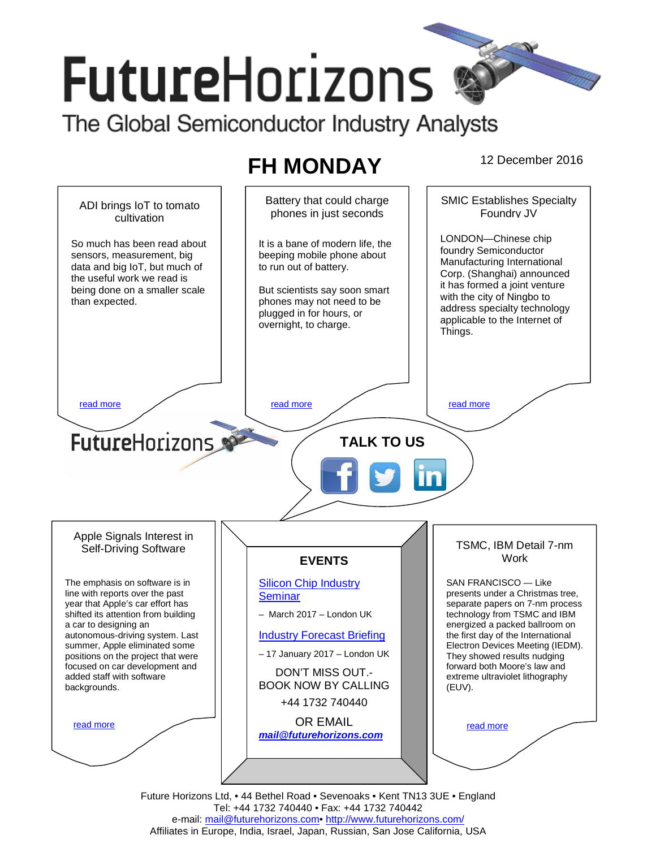# **FutureHorizons** The Global Semiconductor Industry Analysts

# **FH MONDAY** 12 December 2016

Battery that could charge SMIC Establishes Specialty ADI brings IoT to tomato phones in just seconds Foundry JV cultivation LONDON—Chinese chip So much has been read about It is a bane of modern life, the foundry Semiconductor sensors, measurement, big beeping mobile phone about Manufacturing International data and big IoT, but much of to run out of battery. Corp. (Shanghai) announced the useful work we read is it has formed a joint venture being done on a smaller scale But scientists say soon smart with the city of Ningbo to than expected. phones may not need to be address specialty technology plugged in for hours, or applicable to the Internet of overnight, to charge. Things. read more the contract of the read more that the read more that the read more that  $\sim$  read more **FutureHorizons TALK TO US**  Apple Signals Interest in TSMC, IBM Detail 7-nm Self-Driving Software **EVENTS Work** The emphasis on software is in **Silicon Chip Industry** SAN FRANCISCO — Like line with reports over the past presents under a Christmas tree, **Seminar** year that Apple's car effort has separate papers on 7-nm process – March 2017 – London UK shifted its attention from building technology from TSMC and IBM a car to designing an energized a packed ballroom on autonomous-driving system. Last Industry Forecast Briefing the first day of the International summer, Apple eliminated some Electron Devices Meeting (IEDM). – 17 January 2017 – London UK positions on the project that were They showed results nudging focused on car development and forward both Moore's law and DON'T MISS OUT. added staff with software extreme ultraviolet lithography BOOK NOW BY CALLING backgrounds. (EUV). +44 1732 740440 OR EMAIL read more read more **mail@futurehorizons.com**

Future Horizons Ltd, • 44 Bethel Road • Sevenoaks • Kent TN13 3UE • England Tel: +44 1732 740440 • Fax: +44 1732 740442 e-mail: mail@futurehorizons.com• http://www.futurehorizons.com/ Affiliates in Europe, India, Israel, Japan, Russian, San Jose California, USA